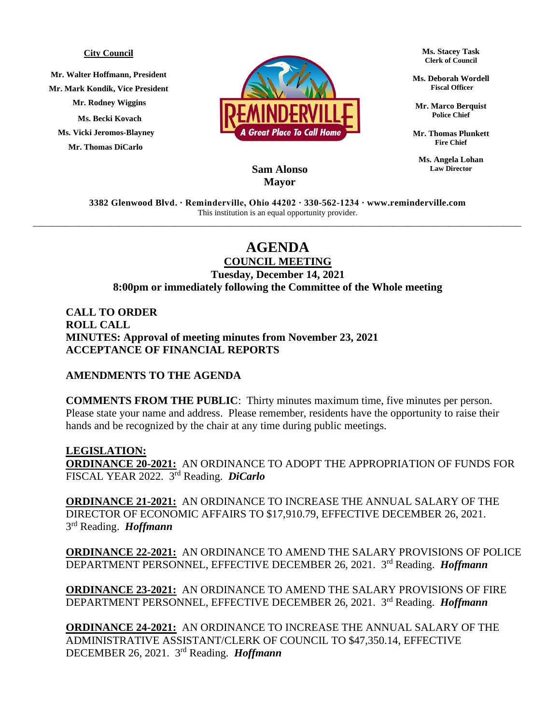## **City Council**

**Mr. Walter Hoffmann, President Mr. Mark Kondik, Vice President Mr. Rodney Wiggins Ms. Becki Kovach Ms. Vicki Jeromos-Blayney Mr. Thomas DiCarlo**



**Ms. Stacey Task Clerk of Council**

**Ms. Deborah Wordell Fiscal Officer**

**Mr. Marco Berquist Police Chief**

**Mr. Thomas Plunkett Fire Chief**

**Ms. Angela Lohan Law Director**

## **Sam Alonso Mayor**

**3382 Glenwood Blvd. ∙ Reminderville, Ohio 44202 ∙ 330-562-1234 ∙ www.reminderville.com**  This institution is an equal opportunity provider. \_\_\_\_\_\_\_\_\_\_\_\_\_\_\_\_\_\_\_\_\_\_\_\_\_\_\_\_\_\_\_\_\_\_\_\_\_\_\_\_\_\_\_\_\_\_\_\_\_\_\_\_\_\_\_\_\_\_\_\_\_\_\_\_\_\_\_\_\_\_\_\_\_\_\_\_\_\_\_\_\_\_\_\_\_\_\_\_\_\_\_\_\_\_\_\_\_\_\_\_\_\_\_\_\_\_\_

## **AGENDA**

**COUNCIL MEETING Tuesday, December 14, 2021 8:00pm or immediately following the Committee of the Whole meeting**

**CALL TO ORDER ROLL CALL MINUTES: Approval of meeting minutes from November 23, 2021 ACCEPTANCE OF FINANCIAL REPORTS**

## **AMENDMENTS TO THE AGENDA**

**COMMENTS FROM THE PUBLIC**: Thirty minutes maximum time, five minutes per person. Please state your name and address. Please remember, residents have the opportunity to raise their hands and be recognized by the chair at any time during public meetings.

**LEGISLATION: ORDINANCE 20-2021:** AN ORDINANCE TO ADOPT THE APPROPRIATION OF FUNDS FOR FISCAL YEAR 2022. 3 rd Reading. *DiCarlo*

**ORDINANCE 21-2021:** AN ORDINANCE TO INCREASE THE ANNUAL SALARY OF THE DIRECTOR OF ECONOMIC AFFAIRS TO \$17,910.79, EFFECTIVE DECEMBER 26, 2021. 3 rd Reading. *Hoffmann*

**ORDINANCE 22-2021:** AN ORDINANCE TO AMEND THE SALARY PROVISIONS OF POLICE DEPARTMENT PERSONNEL, EFFECTIVE DECEMBER 26, 2021. 3 rd Reading. *Hoffmann*

**ORDINANCE 23-2021:** AN ORDINANCE TO AMEND THE SALARY PROVISIONS OF FIRE DEPARTMENT PERSONNEL, EFFECTIVE DECEMBER 26, 2021. 3 rd Reading. *Hoffmann*

**ORDINANCE 24-2021:** AN ORDINANCE TO INCREASE THE ANNUAL SALARY OF THE ADMINISTRATIVE ASSISTANT/CLERK OF COUNCIL TO \$47,350.14, EFFECTIVE DECEMBER 26, 2021. 3 rd Reading. *Hoffmann*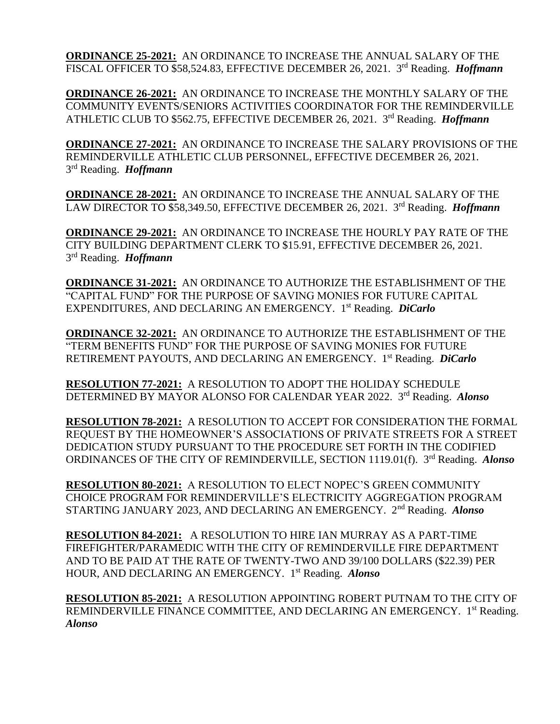**ORDINANCE 25-2021:** AN ORDINANCE TO INCREASE THE ANNUAL SALARY OF THE FISCAL OFFICER TO \$58,524.83, EFFECTIVE DECEMBER 26, 2021. 3<sup>rd</sup> Reading. *Hoffmann* 

**ORDINANCE 26-2021:** AN ORDINANCE TO INCREASE THE MONTHLY SALARY OF THE COMMUNITY EVENTS/SENIORS ACTIVITIES COORDINATOR FOR THE REMINDERVILLE ATHLETIC CLUB TO \$562.75, EFFECTIVE DECEMBER 26, 2021. 3 rd Reading. *Hoffmann*

**ORDINANCE 27-2021:** AN ORDINANCE TO INCREASE THE SALARY PROVISIONS OF THE REMINDERVILLE ATHLETIC CLUB PERSONNEL, EFFECTIVE DECEMBER 26, 2021. 3 rd Reading. *Hoffmann*

**ORDINANCE 28-2021:** AN ORDINANCE TO INCREASE THE ANNUAL SALARY OF THE LAW DIRECTOR TO \$58,349.50, EFFECTIVE DECEMBER 26, 2021. 3<sup>rd</sup> Reading. *Hoffmann* 

**ORDINANCE 29-2021:** AN ORDINANCE TO INCREASE THE HOURLY PAY RATE OF THE CITY BUILDING DEPARTMENT CLERK TO \$15.91, EFFECTIVE DECEMBER 26, 2021. 3 rd Reading. *Hoffmann*

**ORDINANCE 31-2021:** AN ORDINANCE TO AUTHORIZE THE ESTABLISHMENT OF THE "CAPITAL FUND" FOR THE PURPOSE OF SAVING MONIES FOR FUTURE CAPITAL EXPENDITURES, AND DECLARING AN EMERGENCY. 1 st Reading. *DiCarlo*

**ORDINANCE 32-2021:** AN ORDINANCE TO AUTHORIZE THE ESTABLISHMENT OF THE "TERM BENEFITS FUND" FOR THE PURPOSE OF SAVING MONIES FOR FUTURE RETIREMENT PAYOUTS, AND DECLARING AN EMERGENCY. 1 st Reading. *DiCarlo*

**RESOLUTION 77-2021:** A RESOLUTION TO ADOPT THE HOLIDAY SCHEDULE DETERMINED BY MAYOR ALONSO FOR CALENDAR YEAR 2022. 3<sup>rd</sup> Reading. *Alonso* 

**RESOLUTION 78-2021:** A RESOLUTION TO ACCEPT FOR CONSIDERATION THE FORMAL REQUEST BY THE HOMEOWNER'S ASSOCIATIONS OF PRIVATE STREETS FOR A STREET DEDICATION STUDY PURSUANT TO THE PROCEDURE SET FORTH IN THE CODIFIED ORDINANCES OF THE CITY OF REMINDERVILLE, SECTION 1119.01(f). 3<sup>rd</sup> Reading. *Alonso* 

**RESOLUTION 80-2021:** A RESOLUTION TO ELECT NOPEC'S GREEN COMMUNITY CHOICE PROGRAM FOR REMINDERVILLE'S ELECTRICITY AGGREGATION PROGRAM STARTING JANUARY 2023, AND DECLARING AN EMERGENCY. 2nd Reading. *Alonso*

**RESOLUTION 84-2021:** A RESOLUTION TO HIRE IAN MURRAY AS A PART-TIME FIREFIGHTER/PARAMEDIC WITH THE CITY OF REMINDERVILLE FIRE DEPARTMENT AND TO BE PAID AT THE RATE OF TWENTY-TWO AND 39/100 DOLLARS (\$22.39) PER HOUR, AND DECLARING AN EMERGENCY. 1 st Reading. *Alonso*

**RESOLUTION 85-2021:** A RESOLUTION APPOINTING ROBERT PUTNAM TO THE CITY OF REMINDERVILLE FINANCE COMMITTEE, AND DECLARING AN EMERGENCY. 1st Reading. *Alonso*